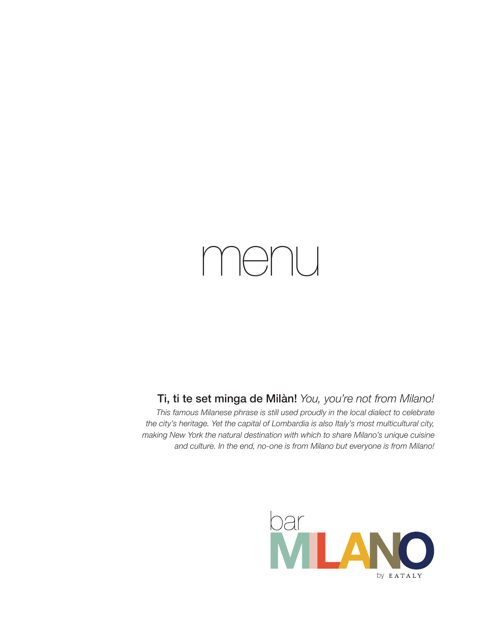# menu

## Ti, ti te set minga de Milàn! *You, you're not from Milano!*

*This famous Milanese phrase is still used proudly in the local dialect to celebrate the city's heritage. Yet the capital of Lombardia is also Italy's most multicultural city, making New York the natural destination with which to share Milano's unique cuisine and culture. In the end, no-one is from Milano but everyone is from Milano!*

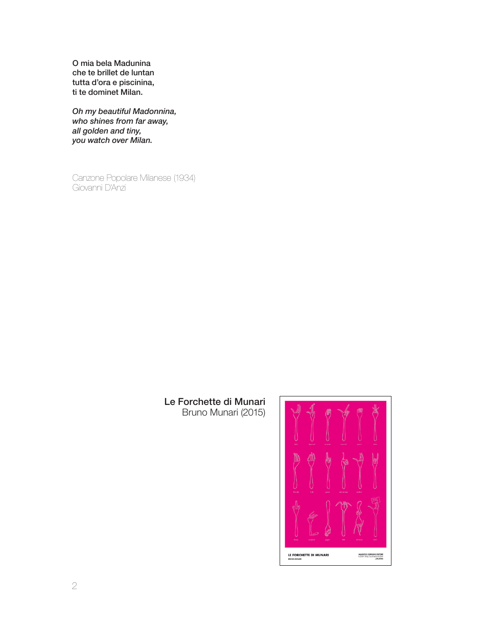O mia bela Madunina che te brillet de luntan tutta d'ora e piscinina, ti te dominet Milan.

*Oh my beautiful Madonnina, who shines from far away, all golden and tiny, you watch over Milan.*

Canzone Popolare Milanese (1934) Giovanni D'Anzi

#### Le Forchette di Munari Bruno Munari (2015)

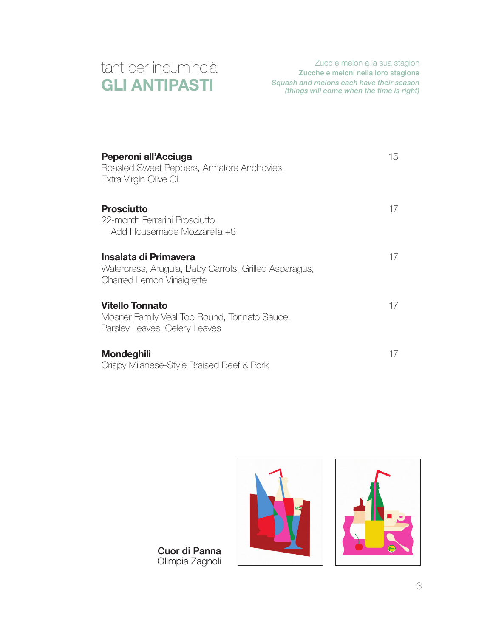

Zucc e melon a la sua stagion Zucche e meloni nella loro stagione *Squash and melons each have their season (things will come when the time is right)*

| Peperoni all'Acciuga<br>Roasted Sweet Peppers, Armatore Anchovies,<br>Extra Virgin Olive Oil                | 15 |
|-------------------------------------------------------------------------------------------------------------|----|
| <b>Prosciutto</b><br>22-month Ferrarini Prosciutto<br>Add Housemade Mozzarella +8                           | 1/ |
| Insalata di Primavera<br>Watercress, Arugula, Baby Carrots, Grilled Asparagus,<br>Charred Lemon Vinaigrette | 1/ |
| <b>Vitello Tonnato</b><br>Mosner Family Veal Top Round, Tonnato Sauce,<br>Parsley Leaves, Celery Leaves     | 17 |
| <b>Mondeghili</b><br>Crispy Milanese-Style Braised Beef & Pork                                              | 17 |



Cuor di Panna Olimpia Zagnoli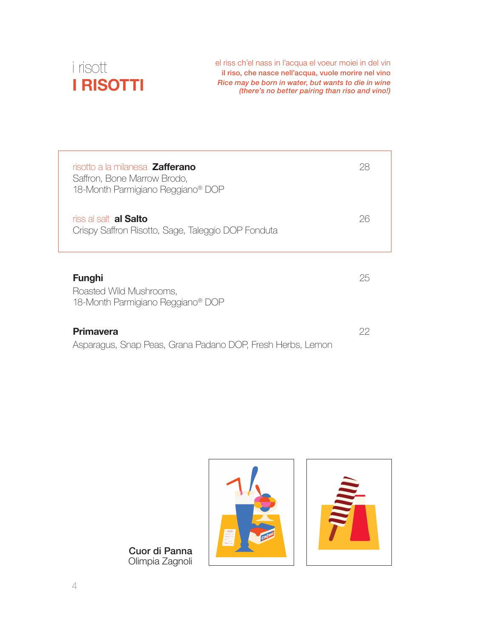

el riss ch'el nass in l'acqua el voeur moiei in del vin il riso, che nasce nell'acqua, vuole morire nel vino *Rice may be born in water, but wants to die in wine (there's no better pairing than riso and vino!)*

| risotto a la milanesa <b>Zafferano</b><br>Saffron, Bone Marrow Brodo,<br>18-Month Parmigiano Reggiano <sup>®</sup> DOP | 28 |
|------------------------------------------------------------------------------------------------------------------------|----|
| riss al salt <b>al Salto</b><br>Crispy Saffron Risotto, Sage, Taleggio DOP Fonduta                                     | 26 |
| <b>Funghi</b><br>Roasted Wild Mushrooms,<br>18-Month Parmigiano Reggiano <sup>®</sup> DOP                              | 25 |
| Primavera<br>Asparagus, Snap Peas, Grana Padano DOP, Fresh Herbs, Lemon                                                | 22 |



Cuor di Panna Olimpia Zagnoli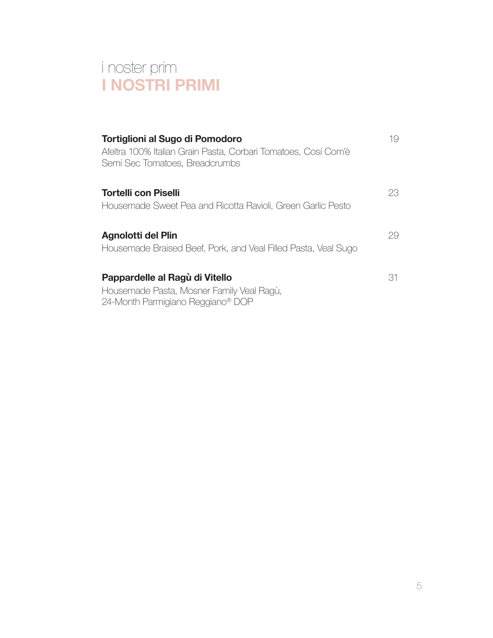# i noster prim **I NOSTRI PRIMI**

| Tortiglioni al Sugo di Pomodoro<br>Afeltra 100% Italian Grain Pasta, Corbari Tomatoes, Cosí Com'è<br>Semi Sec Tomatoes, Breadcrumbs | 19  |
|-------------------------------------------------------------------------------------------------------------------------------------|-----|
| <b>Tortelli con Piselli</b><br>Housemade Sweet Pea and Ricotta Ravioli, Green Garlic Pesto                                          | 23. |
| Agnolotti del Plin<br>Housemade Braised Beef, Pork, and Veal Filled Pasta, Veal Sugo                                                | 29. |
| Pappardelle al Ragù di Vitello<br>Housemade Pasta, Mosner Family Veal Ragù,<br>24-Month Parmigiano Reggiano <sup>®</sup> DOP        | 31  |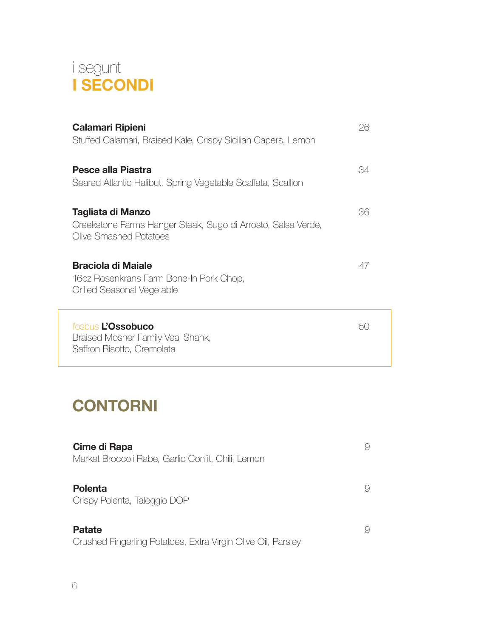

| Calamari Ripieni<br>Stuffed Calamari, Braised Kale, Crispy Sicilian Capers, Lemon                           | 26  |
|-------------------------------------------------------------------------------------------------------------|-----|
| Pesce alla Piastra<br>Seared Atlantic Halibut, Spring Vegetable Scaffata, Scallion                          | 34  |
| Tagliata di Manzo<br>Creekstone Farms Hanger Steak, Sugo di Arrosto, Salsa Verde,<br>Olive Smashed Potatoes | 36  |
| Braciola di Maiale<br>16oz Rosenkrans Farm Bone-In Pork Chop,<br>Grilled Seasonal Vegetable                 | 47  |
| l'osbus L'Ossobuco<br>Braised Mosner Family Veal Shank,<br>Saffron Risotto, Gremolata                       | b() |

# **CONTORNI**

| Cime di Rapa<br>Market Broccoli Rabe, Garlic Confit, Chili, Lemon             | 9 |
|-------------------------------------------------------------------------------|---|
| <b>Polenta</b><br>Crispy Polenta, Taleggio DOP                                | 9 |
| <b>Patate</b><br>Crushed Fingerling Potatoes, Extra Virgin Olive Oil, Parsley | 9 |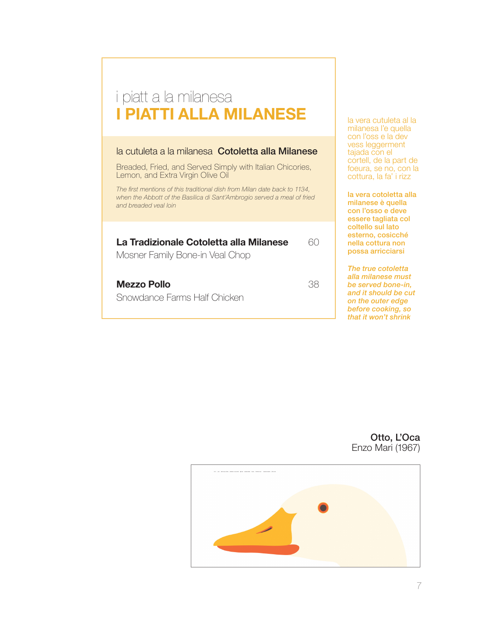# i piatt a la milanesa **I PIATTI ALLA MILANESE**

#### la cutuleta a la milanesa Cotoletta alla Milanese

Breaded, Fried, and Served Simply with Italian Chicories, Lemon, and Extra Virgin Olive Oil

*The first mentions of this traditional dish from Milan date back to 1134, when the Abbott of the Basilica di Sant'Ambrogio served a meal of fried and breaded veal loin*

#### **La Tradizionale Cotoletta alla Milanese** 60

Mosner Family Bone-in Veal Chop

**Mezzo Pollo** 38

Snowdance Farms Half Chicken

la vera cutuleta al la milanesa l'e quella con l'oss e la dev vess leggerment tajada con el cortell, de la part de foeura, se no, con la cottura, la fa' i rizz

la vera cotoletta alla milanese è quella con l'osso e deve essere tagliata col coltello sul lato esterno, cosicché nella cottura non possa arricciarsi

*The true cotoletta alla milanese must be served bone-in, and it should be cut on the outer edge before cooking, so that it won't shrink*

Otto, L'Oca Enzo Mari (1967)